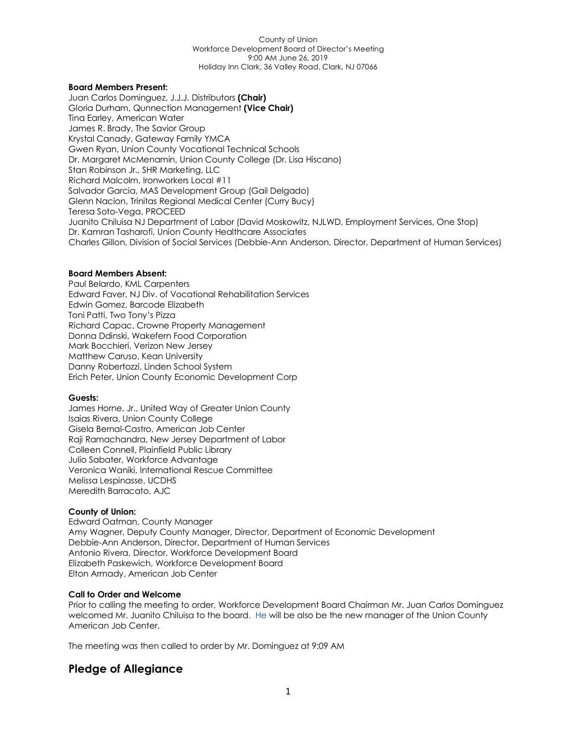### **Board Members Present:**

Juan Carlos Dominguez, J.J.J. Distributors **(Chair)** Gloria Durham, Qunnection Management **(Vice Chair)** Tina Earley, American Water James R. Brady, The Savior Group Krystal Canady, Gateway Family YMCA Gwen Ryan, Union County Vocational Technical Schools Dr. Margaret McMenamin, Union County College (Dr. Lisa Hiscano) Stan Robinson Jr., SHR Marketing, LLC Richard Malcolm, Ironworkers Local #11 Salvador Garcia, MAS Development Group (Gail Delgado) Glenn Nacion, Trinitas Regional Medical Center (Curry Bucy) Teresa Soto-Vega, PROCEED Juanito Chiluisa NJ Department of Labor (David Moskowitz, NJLWD, Employment Services, One Stop) Dr. Kamran Tasharofi, Union County Healthcare Associates Charles Gillon, Division of Social Services (Debbie-Ann Anderson, Director, Department of Human Services)

### **Board Members Absent:**

Paul Belardo, KML Carpenters Edward Faver, NJ Div. of Vocational Rehabilitation Services Edwin Gomez, Barcode Elizabeth Toni Patti, Two Tony's Pizza Richard Capac, Crowne Property Management Donna Ddinski, Wakefern Food Corporation Mark Bocchieri, Verizon New Jersey Matthew Caruso, Kean University Danny Robertozzi, Linden School System Erich Peter, Union County Economic Development Corp

### **Guests:**

James Horne, Jr., United Way of Greater Union County Isaias Rivera, Union County College Gisela Bernal-Castro, American Job Center Raji Ramachandra, New Jersey Department of Labor Colleen Connell, Plainfield Public Library Julio Sabater, Workforce Advantage Veronica Waniki, International Rescue Committee Melissa Lespinasse, UCDHS Meredith Barracato, AJC

### **County of Union:**

Edward Oatman, County Manager Amy Wagner, Deputy County Manager, Director, Department of Economic Development Debbie-Ann Anderson, Director, Department of Human Services Antonio Rivera, Director, Workforce Development Board Elizabeth Paskewich, Workforce Development Board Elton Armady, American Job Center

### **Call to Order and Welcome**

Prior to calling the meeting to order, Workforce Development Board Chairman Mr. Juan Carlos Dominguez welcomed Mr. Juanito Chiluisa to the board. He will be also be the new manager of the Union County American Job Center.

The meeting was then called to order by Mr. Dominguez at 9:09 AM

### **Pledge of Allegiance**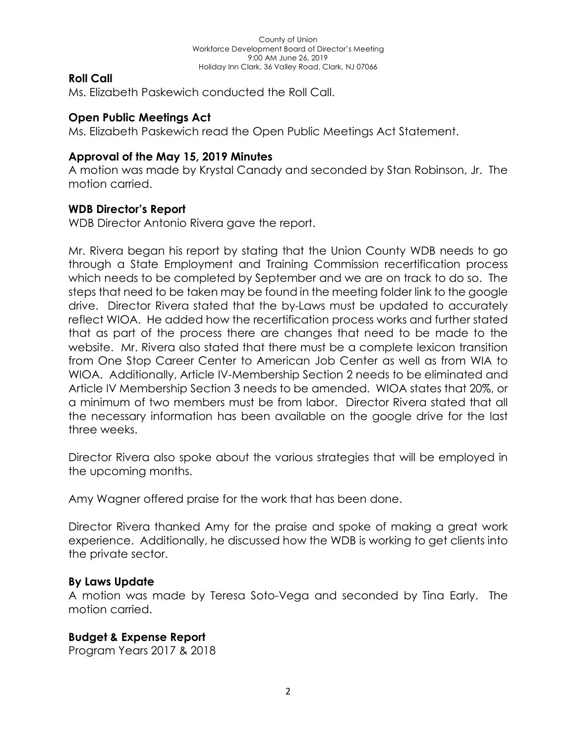## **Roll Call**

Ms. Elizabeth Paskewich conducted the Roll Call.

# **Open Public Meetings Act**

Ms. Elizabeth Paskewich read the Open Public Meetings Act Statement.

# **Approval of the May 15, 2019 Minutes**

A motion was made by Krystal Canady and seconded by Stan Robinson, Jr. The motion carried.

# **WDB Director's Report**

WDB Director Antonio Rivera gave the report.

Mr. Rivera began his report by stating that the Union County WDB needs to go through a State Employment and Training Commission recertification process which needs to be completed by September and we are on track to do so. The steps that need to be taken may be found in the meeting folder link to the google drive. Director Rivera stated that the by-Laws must be updated to accurately reflect WIOA. He added how the recertification process works and further stated that as part of the process there are changes that need to be made to the website. Mr. Rivera also stated that there must be a complete lexicon transition from One Stop Career Center to American Job Center as well as from WIA to WIOA. Additionally, Article IV-Membership Section 2 needs to be eliminated and Article IV Membership Section 3 needs to be amended. WIOA states that 20%, or a minimum of two members must be from labor. Director Rivera stated that all the necessary information has been available on the google drive for the last three weeks.

Director Rivera also spoke about the various strategies that will be employed in the upcoming months.

Amy Wagner offered praise for the work that has been done.

Director Rivera thanked Amy for the praise and spoke of making a great work experience. Additionally, he discussed how the WDB is working to get clients into the private sector.

# **By Laws Update**

A motion was made by Teresa Soto-Vega and seconded by Tina Early. The motion carried.

# **Budget & Expense Report**

Program Years 2017 & 2018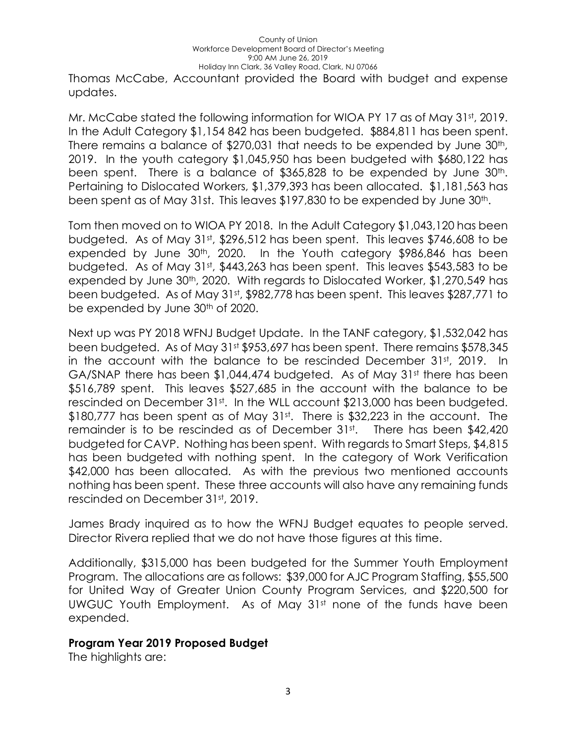Thomas McCabe, Accountant provided the Board with budget and expense updates.

Mr. McCabe stated the following information for WIOA PY 17 as of May 31st, 2019. In the Adult Category \$1,154 842 has been budgeted. \$884,811 has been spent. There remains a balance of \$270,031 that needs to be expended by June 30<sup>th</sup>, 2019. In the youth category \$1,045,950 has been budgeted with \$680,122 has been spent. There is a balance of \$365,828 to be expended by June 30<sup>th</sup>. Pertaining to Dislocated Workers, \$1,379,393 has been allocated. \$1,181,563 has been spent as of May 31st. This leaves \$197,830 to be expended by June 30<sup>th</sup>.

Tom then moved on to WIOA PY 2018. In the Adult Category \$1,043,120 has been budgeted. As of May 31st, \$296,512 has been spent. This leaves \$746,608 to be expended by June 30th, 2020. In the Youth category \$986,846 has been budgeted. As of May 31st, \$443,263 has been spent. This leaves \$543,583 to be expended by June 30th, 2020. With regards to Dislocated Worker, \$1,270,549 has been budgeted. As of May 31st, \$982,778 has been spent. This leaves \$287,771 to be expended by June 30<sup>th</sup> of 2020.

Next up was PY 2018 WFNJ Budget Update. In the TANF category, \$1,532,042 has been budgeted. As of May 31st \$953,697 has been spent. There remains \$578,345 in the account with the balance to be rescinded December 31st, 2019. In GA/SNAP there has been \$1,044,474 budgeted. As of May 31st there has been \$516,789 spent. This leaves \$527,685 in the account with the balance to be rescinded on December 31st. In the WLL account \$213,000 has been budgeted. \$180,777 has been spent as of May 31st. There is \$32,223 in the account. The remainder is to be rescinded as of December 31st. There has been \$42,420 budgeted for CAVP. Nothing has been spent. With regards to Smart Steps, \$4,815 has been budgeted with nothing spent. In the category of Work Verification \$42,000 has been allocated. As with the previous two mentioned accounts nothing has been spent. These three accounts will also have any remaining funds rescinded on December 31st, 2019.

James Brady inquired as to how the WFNJ Budget equates to people served. Director Rivera replied that we do not have those figures at this time.

Additionally, \$315,000 has been budgeted for the Summer Youth Employment Program. The allocations are as follows: \$39,000 for AJC Program Staffing, \$55,500 for United Way of Greater Union County Program Services, and \$220,500 for UWGUC Youth Employment. As of May 31st none of the funds have been expended.

### **Program Year 2019 Proposed Budget**

The highlights are: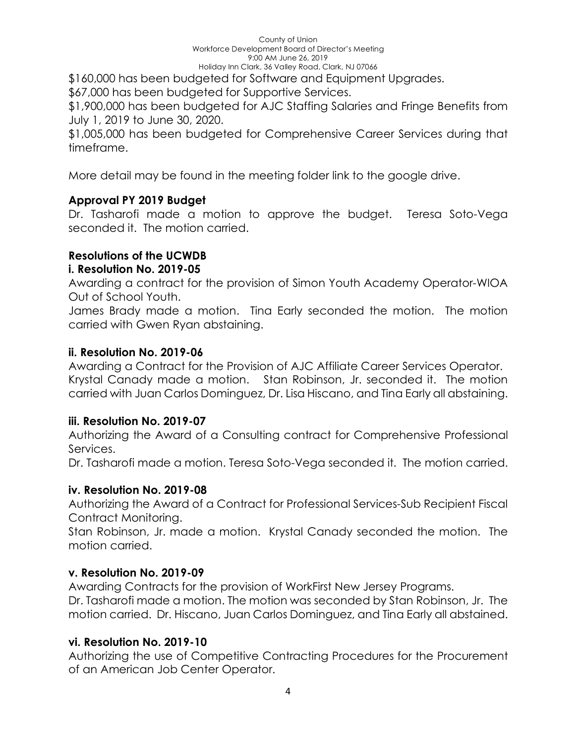\$160,000 has been budgeted for Software and Equipment Upgrades.

\$67,000 has been budgeted for Supportive Services.

\$1,900,000 has been budgeted for AJC Staffing Salaries and Fringe Benefits from July 1, 2019 to June 30, 2020.

\$1,005,000 has been budgeted for Comprehensive Career Services during that timeframe.

More detail may be found in the meeting folder link to the google drive.

# **Approval PY 2019 Budget**

Dr. Tasharofi made a motion to approve the budget. Teresa Soto-Vega seconded it. The motion carried.

# **Resolutions of the UCWDB**

# **i. Resolution No. 2019-05**

Awarding a contract for the provision of Simon Youth Academy Operator-WIOA Out of School Youth.

James Brady made a motion. Tina Early seconded the motion. The motion carried with Gwen Ryan abstaining.

# **ii. Resolution No. 2019-06**

Awarding a Contract for the Provision of AJC Affiliate Career Services Operator. Krystal Canady made a motion. Stan Robinson, Jr. seconded it. The motion carried with Juan Carlos Dominguez, Dr. Lisa Hiscano, and Tina Early all abstaining.

# **iii. Resolution No. 2019-07**

Authorizing the Award of a Consulting contract for Comprehensive Professional Services.

Dr. Tasharofi made a motion. Teresa Soto-Vega seconded it. The motion carried.

# **iv. Resolution No. 2019-08**

Authorizing the Award of a Contract for Professional Services-Sub Recipient Fiscal Contract Monitoring.

Stan Robinson, Jr. made a motion. Krystal Canady seconded the motion. The motion carried.

# **v. Resolution No. 2019-09**

Awarding Contracts for the provision of WorkFirst New Jersey Programs.

Dr. Tasharofi made a motion. The motion was seconded by Stan Robinson, Jr. The motion carried. Dr. Hiscano, Juan Carlos Dominguez, and Tina Early all abstained.

# **vi. Resolution No. 2019-10**

Authorizing the use of Competitive Contracting Procedures for the Procurement of an American Job Center Operator.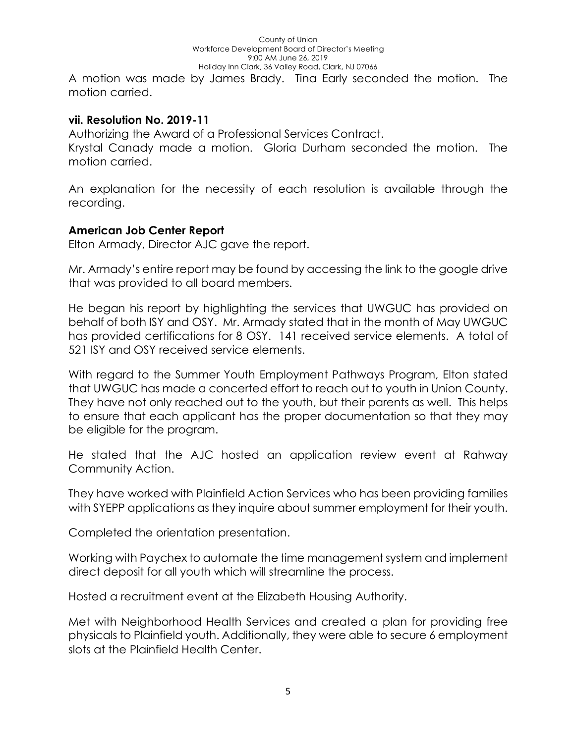A motion was made by James Brady. Tina Early seconded the motion. The motion carried.

## **vii. Resolution No. 2019-11**

Authorizing the Award of a Professional Services Contract. Krystal Canady made a motion. Gloria Durham seconded the motion. The motion carried.

An explanation for the necessity of each resolution is available through the recording.

## **American Job Center Report**

Elton Armady, Director AJC gave the report.

Mr. Armady's entire report may be found by accessing the link to the google drive that was provided to all board members.

He began his report by highlighting the services that UWGUC has provided on behalf of both ISY and OSY. Mr. Armady stated that in the month of May UWGUC has provided certifications for 8 OSY. 141 received service elements. A total of 521 ISY and OSY received service elements.

With regard to the Summer Youth Employment Pathways Program, Elton stated that UWGUC has made a concerted effort to reach out to youth in Union County. They have not only reached out to the youth, but their parents as well. This helps to ensure that each applicant has the proper documentation so that they may be eligible for the program.

He stated that the AJC hosted an application review event at Rahway Community Action.

They have worked with Plainfield Action Services who has been providing families with SYEPP applications as they inquire about summer employment for their youth.

Completed the orientation presentation.

Working with Paychex to automate the time management system and implement direct deposit for all youth which will streamline the process.

Hosted a recruitment event at the Elizabeth Housing Authority.

Met with Neighborhood Health Services and created a plan for providing free physicals to Plainfield youth. Additionally, they were able to secure 6 employment slots at the Plainfield Health Center.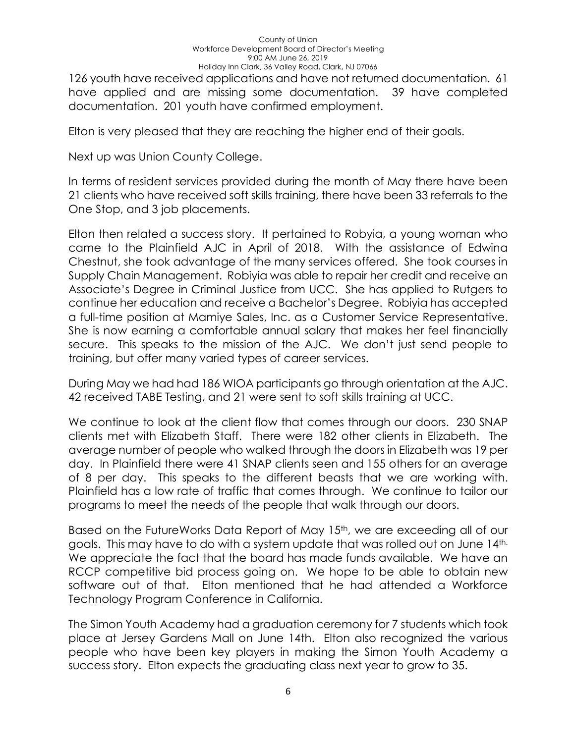126 youth have received applications and have not returned documentation. 61 have applied and are missing some documentation. 39 have completed documentation. 201 youth have confirmed employment.

Elton is very pleased that they are reaching the higher end of their goals.

Next up was Union County College.

In terms of resident services provided during the month of May there have been 21 clients who have received soft skills training, there have been 33 referrals to the One Stop, and 3 job placements.

Elton then related a success story. It pertained to Robyia, a young woman who came to the Plainfield AJC in April of 2018. With the assistance of Edwina Chestnut, she took advantage of the many services offered. She took courses in Supply Chain Management. Robiyia was able to repair her credit and receive an Associate's Degree in Criminal Justice from UCC. She has applied to Rutgers to continue her education and receive a Bachelor's Degree. Robiyia has accepted a full-time position at Mamiye Sales, Inc. as a Customer Service Representative. She is now earning a comfortable annual salary that makes her feel financially secure. This speaks to the mission of the AJC. We don't just send people to training, but offer many varied types of career services.

During May we had had 186 WIOA participants go through orientation at the AJC. 42 received TABE Testing, and 21 were sent to soft skills training at UCC.

We continue to look at the client flow that comes through our doors. 230 SNAP clients met with Elizabeth Staff. There were 182 other clients in Elizabeth. The average number of people who walked through the doors in Elizabeth was 19 per day. In Plainfield there were 41 SNAP clients seen and 155 others for an average of 8 per day. This speaks to the different beasts that we are working with. Plainfield has a low rate of traffic that comes through. We continue to tailor our programs to meet the needs of the people that walk through our doors.

Based on the FutureWorks Data Report of May 15<sup>th</sup>, we are exceeding all of our goals. This may have to do with a system update that was rolled out on June 14th. We appreciate the fact that the board has made funds available. We have an RCCP competitive bid process going on. We hope to be able to obtain new software out of that. Elton mentioned that he had attended a Workforce Technology Program Conference in California.

The Simon Youth Academy had a graduation ceremony for 7 students which took place at Jersey Gardens Mall on June 14th. Elton also recognized the various people who have been key players in making the Simon Youth Academy a success story. Elton expects the graduating class next year to grow to 35.